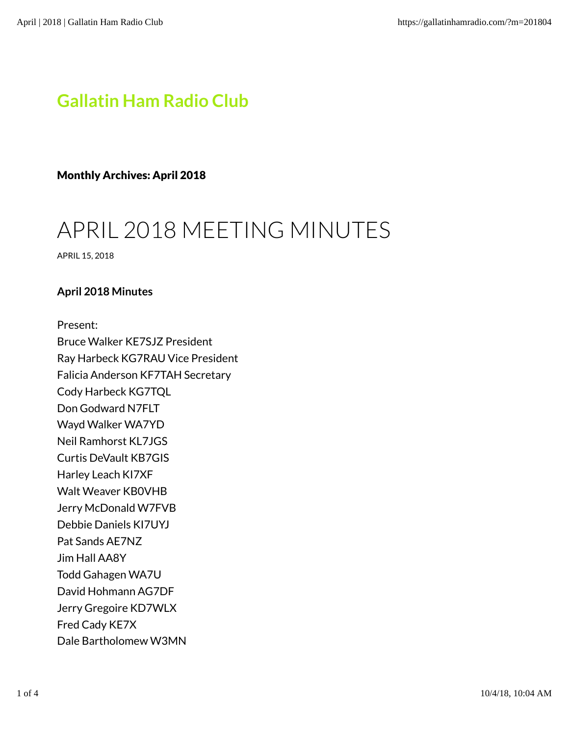# Gallatin Ham Radio Club

Monthly Archives: April 2018

# APRIL 2018 MEETING MINUTES

APRIL 15, 2018

## April 2018 Minutes

Present:

Bruce Walker KE7SJZ President Ray Harbeck KG7RAU Vice President Falicia Anderson KF7TAH Secretary Cody Harbeck KG7TQL Don Godward N7FLT Wayd Walker WA7YD Neil Ramhorst KL7JGS Curtis DeVault KB7GIS Harley Leach KI7XF Walt Weaver KB0VHB Jerry McDonald W7FVB Debbie Daniels KI7UYJ Pat Sands AE7NZ Jim Hall AA8Y Todd Gahagen WA7U David Hohmann AG7DF Jerry Gregoire KD7WLX Fred Cady KE7X Dale Bartholomew W3MN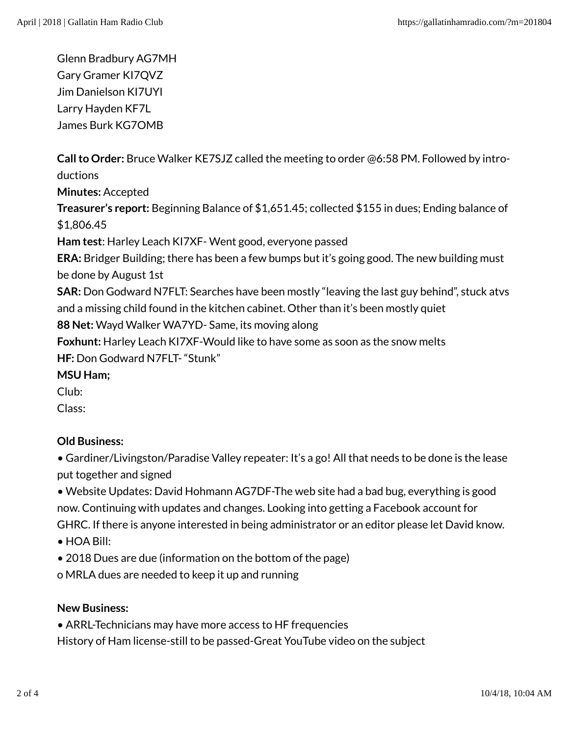Glenn Bradbury AG7MH Gary Gramer KI7QVZ Jim Danielson KI7UYI Larry Hayden KF7L James Burk KG7OMB

Call to Order: Bruce Walker KE7SJZ called the meeting to order @6:58 PM. Followed by introductions

Minutes: Accepted

Treasurer's report: Beginning Balance of \$1,651.45; collected \$155 in dues; Ending balance of \$1,806.45

Ham test: Harley Leach KI7XF- Went good, everyone passed

ERA: Bridger Building; there has been a few bumps but it's going good. The new building must be done by August 1st

SAR: Don Godward N7FLT: Searches have been mostly "leaving the last guy behind", stuck atvs and a missing child found in the kitchen cabinet. Other than it's been mostly quiet

88 Net: Wayd Walker WA7YD- Same, its moving along

Foxhunt: Harley Leach KI7XF-Would like to have some as soon as the snow melts HF: Don Godward N7FLT- "Stunk"

MSU Ham;

Club:

Class:

# Old Business:

• Gardiner/Livingston/Paradise Valley repeater: It's a go! All that needs to be done is the lease put together and signed

• Website Updates: David Hohmann AG7DF-The web site had a bad bug, everything is good now. Continuing with updates and changes. Looking into getting a Facebook account for GHRC. If there is anyone interested in being administrator or an editor please let David know.

- HOA Bill:
- 2018 Dues are due (information on the bottom of the page)

o MRLA dues are needed to keep it up and running

# New Business:

• ARRL-Technicians may have more access to HF frequencies

History of Ham license-still to be passed-Great YouTube video on the subject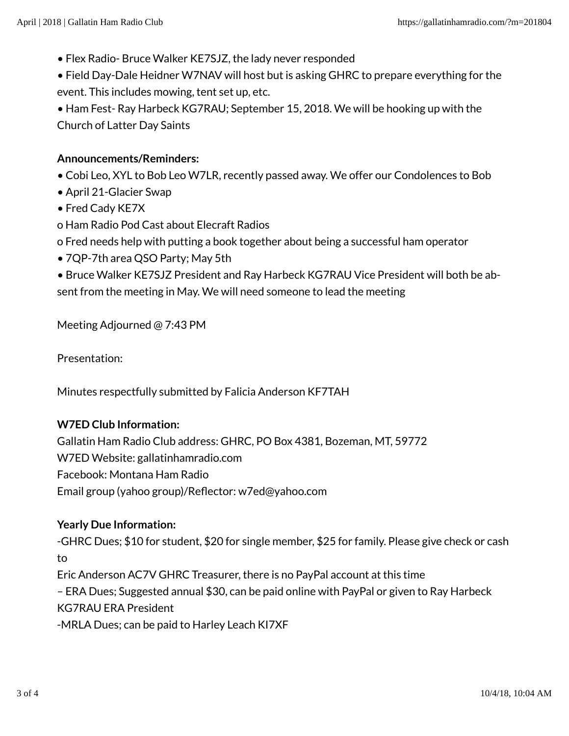• Flex Radio- Bruce Walker KE7SJZ, the lady never responded

• Field Day-Dale Heidner W7NAV will host but is asking GHRC to prepare everything for the event. This includes mowing, tent set up, etc.

• Ham Fest- Ray Harbeck KG7RAU; September 15, 2018. We will be hooking up with the Church of Latter Day Saints

## Announcements/Reminders:

- Cobi Leo, XYL to Bob Leo W7LR, recently passed away. We offer our Condolences to Bob
- April 21-Glacier Swap
- Fred Cady KE7X
- o Ham Radio Pod Cast about Elecraft Radios
- o Fred needs help with putting a book together about being a successful ham operator
- 7QP-7th area QSO Party; May 5th

• Bruce Walker KE7SJZ President and Ray Harbeck KG7RAU Vice President will both be absent from the meeting in May. We will need someone to lead the meeting

Meeting Adjourned @ 7:43 PM

Presentation:

Minutes respectfully submitted by Falicia Anderson KF7TAH

#### W7ED Club Information:

Gallatin Ham Radio Club address: GHRC, PO Box 4381, Bozeman, MT, 59772 W7ED Website: gallatinhamradio.com Facebook: Montana Ham Radio Email group (yahoo group)/Reflector: w7ed@yahoo.com

#### Yearly Due Information:

-GHRC Dues; \$10 for student, \$20 for single member, \$25 for family. Please give check or cash to

Eric Anderson AC7V GHRC Treasurer, there is no PayPal account at this time

– ERA Dues; Suggested annual \$30, can be paid online with PayPal or given to Ray Harbeck KG7RAU ERA President

-MRLA Dues; can be paid to Harley Leach KI7XF